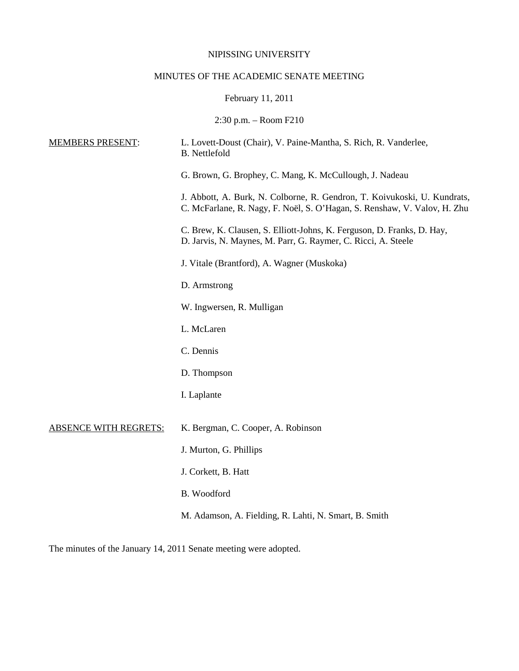### NIPISSING UNIVERSITY

# MINUTES OF THE ACADEMIC SENATE MEETING

# February 11, 2011

2:30 p.m. – Room F210

| <b>MEMBERS PRESENT:</b>      | L. Lovett-Doust (Chair), V. Paine-Mantha, S. Rich, R. Vanderlee,<br><b>B.</b> Nettlefold                                                             |
|------------------------------|------------------------------------------------------------------------------------------------------------------------------------------------------|
|                              | G. Brown, G. Brophey, C. Mang, K. McCullough, J. Nadeau                                                                                              |
|                              | J. Abbott, A. Burk, N. Colborne, R. Gendron, T. Koivukoski, U. Kundrats,<br>C. McFarlane, R. Nagy, F. Noël, S. O'Hagan, S. Renshaw, V. Valov, H. Zhu |
|                              | C. Brew, K. Clausen, S. Elliott-Johns, K. Ferguson, D. Franks, D. Hay,<br>D. Jarvis, N. Maynes, M. Parr, G. Raymer, C. Ricci, A. Steele              |
|                              | J. Vitale (Brantford), A. Wagner (Muskoka)                                                                                                           |
|                              | D. Armstrong                                                                                                                                         |
|                              | W. Ingwersen, R. Mulligan                                                                                                                            |
|                              | L. McLaren                                                                                                                                           |
|                              | C. Dennis                                                                                                                                            |
|                              | D. Thompson                                                                                                                                          |
|                              | I. Laplante                                                                                                                                          |
| <b>ABSENCE WITH REGRETS:</b> | K. Bergman, C. Cooper, A. Robinson                                                                                                                   |
|                              | J. Murton, G. Phillips                                                                                                                               |
|                              | J. Corkett, B. Hatt                                                                                                                                  |
|                              | B. Woodford                                                                                                                                          |
|                              | M. Adamson, A. Fielding, R. Lahti, N. Smart, B. Smith                                                                                                |
|                              |                                                                                                                                                      |

The minutes of the January 14, 2011 Senate meeting were adopted.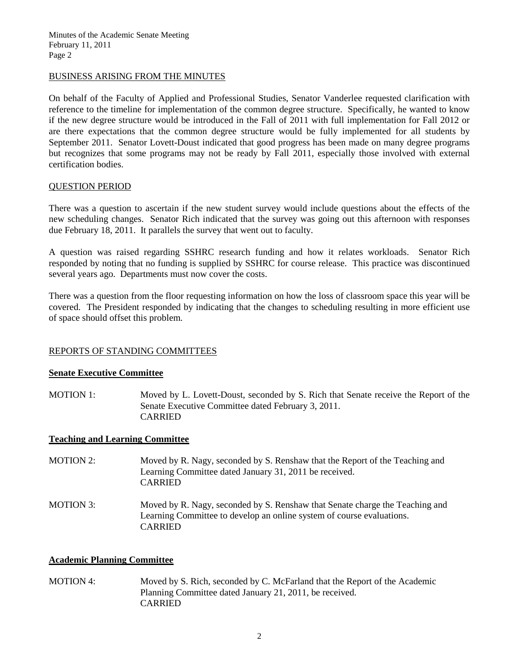#### BUSINESS ARISING FROM THE MINUTES

On behalf of the Faculty of Applied and Professional Studies, Senator Vanderlee requested clarification with reference to the timeline for implementation of the common degree structure. Specifically, he wanted to know if the new degree structure would be introduced in the Fall of 2011 with full implementation for Fall 2012 or are there expectations that the common degree structure would be fully implemented for all students by September 2011. Senator Lovett-Doust indicated that good progress has been made on many degree programs but recognizes that some programs may not be ready by Fall 2011, especially those involved with external certification bodies.

#### QUESTION PERIOD

There was a question to ascertain if the new student survey would include questions about the effects of the new scheduling changes. Senator Rich indicated that the survey was going out this afternoon with responses due February 18, 2011. It parallels the survey that went out to faculty.

A question was raised regarding SSHRC research funding and how it relates workloads. Senator Rich responded by noting that no funding is supplied by SSHRC for course release. This practice was discontinued several years ago. Departments must now cover the costs.

There was a question from the floor requesting information on how the loss of classroom space this year will be covered. The President responded by indicating that the changes to scheduling resulting in more efficient use of space should offset this problem.

### REPORTS OF STANDING COMMITTEES

#### **Senate Executive Committee**

MOTION 1: Moved by L. Lovett-Doust, seconded by S. Rich that Senate receive the Report of the Senate Executive Committee dated February 3, 2011. CARRIED

#### **Teaching and Learning Committee**

MOTION 2: Moved by R. Nagy, seconded by S. Renshaw that the Report of the Teaching and Learning Committee dated January 31, 2011 be received. CARRIED MOTION 3: Moved by R. Nagy, seconded by S. Renshaw that Senate charge the Teaching and Learning Committee to develop an online system of course evaluations. CARRIED

### **Academic Planning Committee**

MOTION 4: Moved by S. Rich, seconded by C. McFarland that the Report of the Academic Planning Committee dated January 21, 2011, be received. CARRIED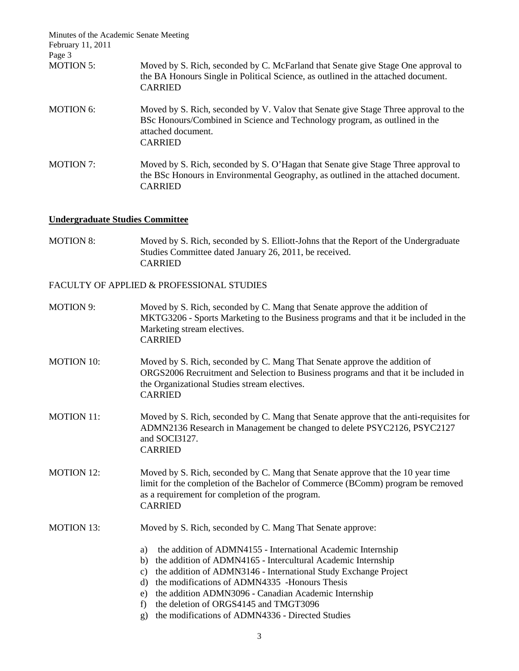| Minutes of the Academic Senate Meeting<br>February 11, 2011 |                                                                                                                                                                                                           |
|-------------------------------------------------------------|-----------------------------------------------------------------------------------------------------------------------------------------------------------------------------------------------------------|
| Page 3                                                      |                                                                                                                                                                                                           |
| <b>MOTION 5:</b>                                            | Moved by S. Rich, seconded by C. McFarland that Senate give Stage One approval to<br>the BA Honours Single in Political Science, as outlined in the attached document.<br><b>CARRIED</b>                  |
| <b>MOTION 6:</b>                                            | Moved by S. Rich, seconded by V. Valov that Senate give Stage Three approval to the<br>BSc Honours/Combined in Science and Technology program, as outlined in the<br>attached document.<br><b>CARRIED</b> |
| <b>MOTION 7:</b>                                            | Moved by S. Rich, seconded by S. O'Hagan that Senate give Stage Three approval to<br>the BSc Honours in Environmental Geography, as outlined in the attached document.<br><b>CARRIED</b>                  |

# **Undergraduate Studies Committee**

MOTION 8: Moved by S. Rich, seconded by S. Elliott-Johns that the Report of the Undergraduate Studies Committee dated January 26, 2011, be received. CARRIED

FACULTY OF APPLIED & PROFESSIONAL STUDIES

| <b>MOTION 9:</b>  | Moved by S. Rich, seconded by C. Mang that Senate approve the addition of<br>MKTG3206 - Sports Marketing to the Business programs and that it be included in the<br>Marketing stream electives.<br><b>CARRIED</b>                                                                                                                                                                                                                               |
|-------------------|-------------------------------------------------------------------------------------------------------------------------------------------------------------------------------------------------------------------------------------------------------------------------------------------------------------------------------------------------------------------------------------------------------------------------------------------------|
| <b>MOTION 10:</b> | Moved by S. Rich, seconded by C. Mang That Senate approve the addition of<br>ORGS2006 Recruitment and Selection to Business programs and that it be included in<br>the Organizational Studies stream electives.<br><b>CARRIED</b>                                                                                                                                                                                                               |
| <b>MOTION 11:</b> | Moved by S. Rich, seconded by C. Mang that Senate approve that the anti-requisites for<br>ADMN2136 Research in Management be changed to delete PSYC2126, PSYC2127<br>and SOCI3127.<br><b>CARRIED</b>                                                                                                                                                                                                                                            |
| <b>MOTION 12:</b> | Moved by S. Rich, seconded by C. Mang that Senate approve that the 10 year time<br>limit for the completion of the Bachelor of Commerce (BComm) program be removed<br>as a requirement for completion of the program.<br><b>CARRIED</b>                                                                                                                                                                                                         |
| <b>MOTION 13:</b> | Moved by S. Rich, seconded by C. Mang That Senate approve:                                                                                                                                                                                                                                                                                                                                                                                      |
|                   | the addition of ADMN4155 - International Academic Internship<br>a)<br>the addition of ADMN4165 - Intercultural Academic Internship<br>b)<br>the addition of ADMN3146 - International Study Exchange Project<br>c)<br>the modifications of ADMN4335 -Honours Thesis<br>d)<br>the addition ADMN3096 - Canadian Academic Internship<br>e)<br>the deletion of ORGS4145 and TMGT3096<br>f)<br>the modifications of ADMN4336 - Directed Studies<br>g) |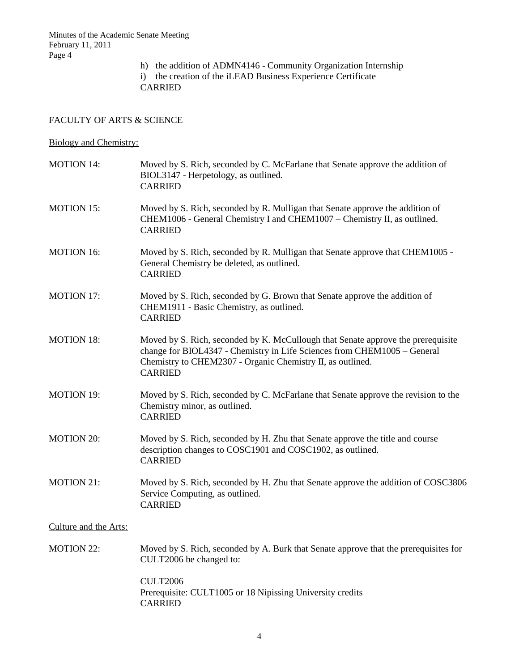h) the addition of ADMN4146 - Community Organization Internship i) the creation of the iLEAD Business Experience Certificate CARRIED

## FACULTY OF ARTS & SCIENCE

# Biology and Chemistry:

| <b>MOTION 14:</b>     | Moved by S. Rich, seconded by C. McFarlane that Senate approve the addition of<br>BIOL3147 - Herpetology, as outlined.<br><b>CARRIED</b>                                                                                                     |
|-----------------------|----------------------------------------------------------------------------------------------------------------------------------------------------------------------------------------------------------------------------------------------|
| <b>MOTION 15:</b>     | Moved by S. Rich, seconded by R. Mulligan that Senate approve the addition of<br>CHEM1006 - General Chemistry I and CHEM1007 - Chemistry II, as outlined.<br><b>CARRIED</b>                                                                  |
| <b>MOTION 16:</b>     | Moved by S. Rich, seconded by R. Mulligan that Senate approve that CHEM1005 -<br>General Chemistry be deleted, as outlined.<br><b>CARRIED</b>                                                                                                |
| <b>MOTION 17:</b>     | Moved by S. Rich, seconded by G. Brown that Senate approve the addition of<br>CHEM1911 - Basic Chemistry, as outlined.<br><b>CARRIED</b>                                                                                                     |
| <b>MOTION 18:</b>     | Moved by S. Rich, seconded by K. McCullough that Senate approve the prerequisite<br>change for BIOL4347 - Chemistry in Life Sciences from CHEM1005 - General<br>Chemistry to CHEM2307 - Organic Chemistry II, as outlined.<br><b>CARRIED</b> |
| <b>MOTION 19:</b>     | Moved by S. Rich, seconded by C. McFarlane that Senate approve the revision to the<br>Chemistry minor, as outlined.<br><b>CARRIED</b>                                                                                                        |
| <b>MOTION 20:</b>     | Moved by S. Rich, seconded by H. Zhu that Senate approve the title and course<br>description changes to COSC1901 and COSC1902, as outlined.<br><b>CARRIED</b>                                                                                |
| <b>MOTION 21:</b>     | Moved by S. Rich, seconded by H. Zhu that Senate approve the addition of COSC3806<br>Service Computing, as outlined.<br><b>CARRIED</b>                                                                                                       |
| Culture and the Arts: |                                                                                                                                                                                                                                              |
| <b>MOTION 22:</b>     | Moved by S. Rich, seconded by A. Burk that Senate approve that the prerequisites for<br>CULT2006 be changed to:                                                                                                                              |
|                       | <b>CULT2006</b><br>Prerequisite: CULT1005 or 18 Nipissing University credits<br><b>CARRIED</b>                                                                                                                                               |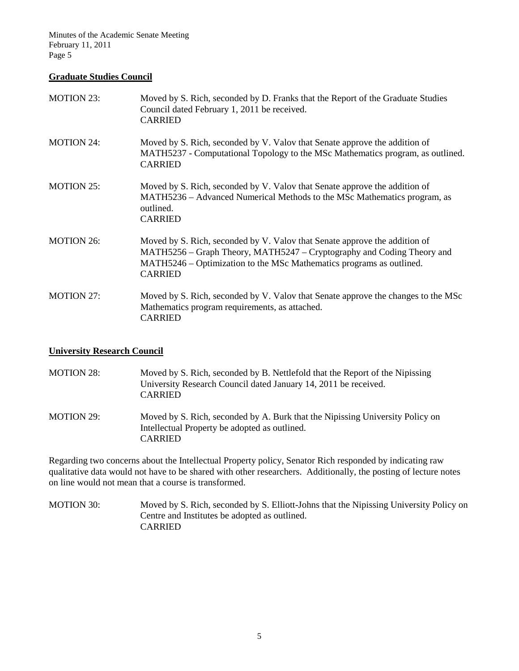#### **Graduate Studies Council**

| <b>MOTION 23:</b> | Moved by S. Rich, seconded by D. Franks that the Report of the Graduate Studies<br>Council dated February 1, 2011 be received.<br><b>CARRIED</b>                                                                                               |
|-------------------|------------------------------------------------------------------------------------------------------------------------------------------------------------------------------------------------------------------------------------------------|
| <b>MOTION 24:</b> | Moved by S. Rich, seconded by V. Valov that Senate approve the addition of<br>MATH5237 - Computational Topology to the MSc Mathematics program, as outlined.<br><b>CARRIED</b>                                                                 |
| <b>MOTION 25:</b> | Moved by S. Rich, seconded by V. Valov that Senate approve the addition of<br>MATH5236 – Advanced Numerical Methods to the MSc Mathematics program, as<br>outlined.<br><b>CARRIED</b>                                                          |
| <b>MOTION 26:</b> | Moved by S. Rich, seconded by V. Valov that Senate approve the addition of<br>MATH5256 – Graph Theory, MATH5247 – Cryptography and Coding Theory and<br>MATH5246 – Optimization to the MSc Mathematics programs as outlined.<br><b>CARRIED</b> |
| <b>MOTION 27:</b> | Moved by S. Rich, seconded by V. Valov that Senate approve the changes to the MSc<br>Mathematics program requirements, as attached.<br><b>CARRIED</b>                                                                                          |

### **University Research Council**

MOTION 28: Moved by S. Rich, seconded by B. Nettlefold that the Report of the Nipissing University Research Council dated January 14, 2011 be received. CARRIED MOTION 29: Moved by S. Rich, seconded by A. Burk that the Nipissing University Policy on Intellectual Property be adopted as outlined.

CARRIED Regarding two concerns about the Intellectual Property policy, Senator Rich responded by indicating raw qualitative data would not have to be shared with other researchers. Additionally, the posting of lecture notes

on line would not mean that a course is transformed. MOTION 30: Moved by S. Rich, seconded by S. Elliott-Johns that the Nipissing University Policy on

Centre and Institutes be adopted as outlined. CARRIED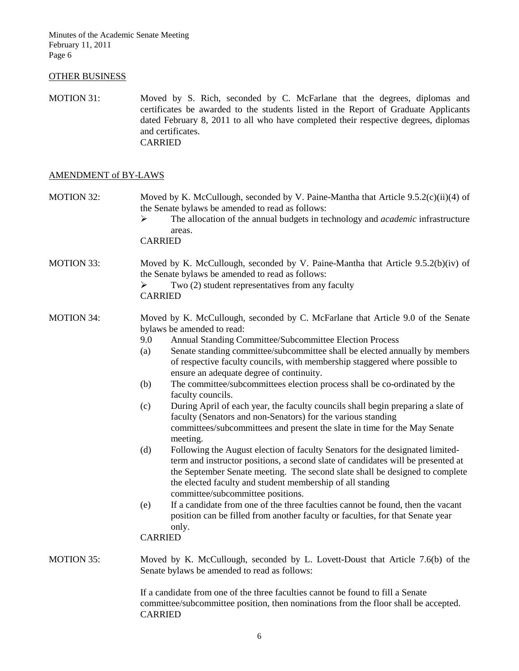#### OTHER BUSINESS

MOTION 31: Moved by S. Rich, seconded by C. McFarlane that the degrees, diplomas and certificates be awarded to the students listed in the Report of Graduate Applicants dated February 8, 2011 to all who have completed their respective degrees, diplomas and certificates. CARRIED

#### AMENDMENT of BY-LAWS

MOTION 32: Moved by K. McCullough, seconded by V. Paine-Mantha that Article 9.5.2(c)(ii)(4) of the Senate bylaws be amended to read as follows:

> The allocation of the annual budgets in technology and *academic* infrastructure areas.

CARRIED

MOTION 33: Moved by K. McCullough, seconded by V. Paine-Mantha that Article 9.5.2(b)(iv) of the Senate bylaws be amended to read as follows:

CARRIED

- MOTION 34: Moved by K. McCullough, seconded by C. McFarlane that Article 9.0 of the Senate bylaws be amended to read:
	- 9.0 Annual Standing Committee/Subcommittee Election Process
	- (a) Senate standing committee/subcommittee shall be elected annually by members of respective faculty councils, with membership staggered where possible to ensure an adequate degree of continuity.
	- (b) The committee/subcommittees election process shall be co-ordinated by the faculty councils.
	- (c) During April of each year, the faculty councils shall begin preparing a slate of faculty (Senators and non-Senators) for the various standing committees/subcommittees and present the slate in time for the May Senate meeting.
	- (d) Following the August election of faculty Senators for the designated limitedterm and instructor positions, a second slate of candidates will be presented at the September Senate meeting. The second slate shall be designed to complete the elected faculty and student membership of all standing committee/subcommittee positions.
	- (e) If a candidate from one of the three faculties cannot be found, then the vacant position can be filled from another faculty or faculties, for that Senate year only.

CARRIED

MOTION 35: Moved by K. McCullough, seconded by L. Lovett-Doust that Article 7.6(b) of the Senate bylaws be amended to read as follows:

> If a candidate from one of the three faculties cannot be found to fill a Senate committee/subcommittee position, then nominations from the floor shall be accepted. CARRIED

 $\triangleright$  Two (2) student representatives from any faculty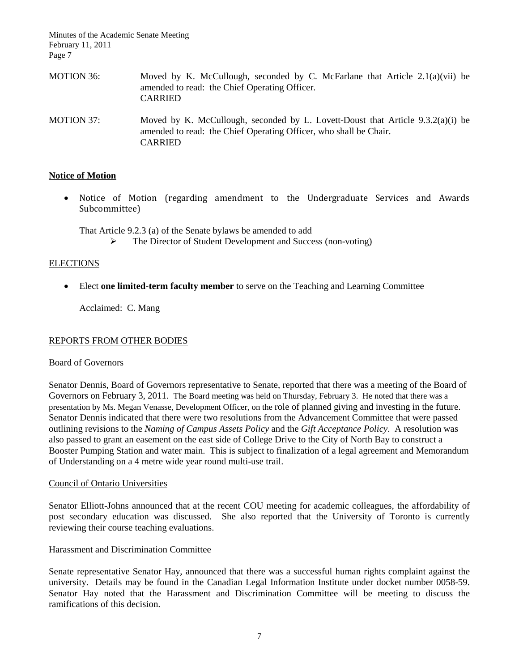| MOTION 36: | Moved by K. McCullough, seconded by C. McFarlane that Article $2.1(a)(vii)$ be<br>amended to read: the Chief Operating Officer.<br><b>CARRIED</b>      |
|------------|--------------------------------------------------------------------------------------------------------------------------------------------------------|
| MOTION 37: | Moved by K. McCullough, seconded by L. Lovett-Doust that Article $9.3.2(a)(i)$ be<br>amended to read: the Chief Operating Officer, who shall be Chair. |

### **Notice of Motion**

• Notice of Motion (regarding amendment to the Undergraduate Services and Awards Subcommittee)

That Article 9.2.3 (a) of the Senate bylaws be amended to add

CARRIED

The Director of Student Development and Success (non-voting)

#### **ELECTIONS**

• Elect **one limited-term faculty member** to serve on the Teaching and Learning Committee

Acclaimed: C. Mang

#### REPORTS FROM OTHER BODIES

#### Board of Governors

Senator Dennis, Board of Governors representative to Senate, reported that there was a meeting of the Board of Governors on February 3, 2011. The Board meeting was held on Thursday, February 3. He noted that there was a presentation by Ms. Megan Venasse, Development Officer, on the role of planned giving and investing in the future. Senator Dennis indicated that there were two resolutions from the Advancement Committee that were passed outlining revisions to the *Naming of Campus Assets Policy* and the *Gift Acceptance Policy*. A resolution was also passed to grant an easement on the east side of College Drive to the City of North Bay to construct a Booster Pumping Station and water main. This is subject to finalization of a legal agreement and Memorandum of Understanding on a 4 metre wide year round multi-use trail.

#### Council of Ontario Universities

Senator Elliott-Johns announced that at the recent COU meeting for academic colleagues, the affordability of post secondary education was discussed. She also reported that the University of Toronto is currently reviewing their course teaching evaluations.

#### Harassment and Discrimination Committee

Senate representative Senator Hay, announced that there was a successful human rights complaint against the university. Details may be found in the Canadian Legal Information Institute under docket number 0058-59. Senator Hay noted that the Harassment and Discrimination Committee will be meeting to discuss the ramifications of this decision.